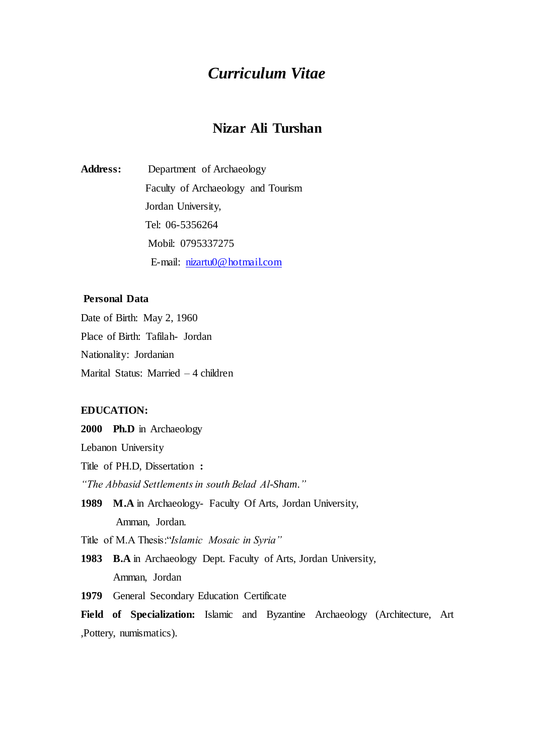# *Curriculum Vitae*

# **Nizar Ali Turshan**

**Address:** Department of Archaeology Faculty of Archaeology and Tourism Jordan University, Tel: 06-5356264 Mobil: 0795337275 E-mail: [nizartu0@hotmail.com](mailto:nizartu0@hotmail.com)

## **Personal Data**

Date of Birth: May 2, 1960 Place of Birth: Tafilah- Jordan Nationality: Jordanian Marital Status: Married – 4 children

## **EDUCATION:**

**2000 Ph.D** in Archaeology Lebanon University Title of PH.D, Dissertation **:** *"The Abbasid Settlements in south Belad Al-Sham."* **1989 M.A** in Archaeology- Faculty Of Arts, Jordan University, Amman, Jordan. Title of M.A Thesis:"*Islamic Mosaic in Syria"*

**1983 B.A** in Archaeology Dept. Faculty of Arts, Jordan University, Amman, Jordan

**1979** General Secondary Education Certificate

**Field of Specialization:** Islamic and Byzantine Archaeology (Architecture, Art ,Pottery, numismatics).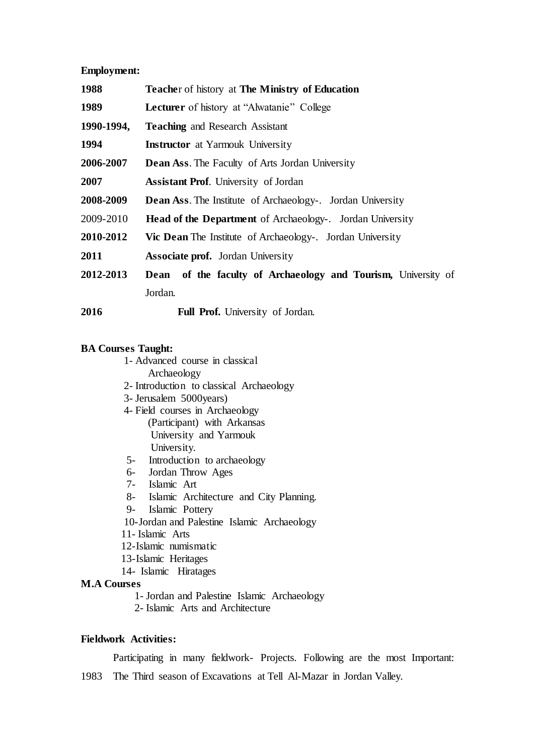**Employment:** 

| 1988       | <b>Teacher of history at The Ministry of Education</b>               |
|------------|----------------------------------------------------------------------|
| 1989       | <b>Lecturer</b> of history at "Alwatanie" College                    |
| 1990-1994, | <b>Teaching and Research Assistant</b>                               |
| 1994       | <b>Instructor</b> at Yarmouk University                              |
| 2006-2007  | <b>Dean Ass.</b> The Faculty of Arts Jordan University               |
| 2007       | <b>Assistant Prof.</b> University of Jordan                          |
| 2008-2009  | <b>Dean Ass.</b> The Institute of Archaeology-. Jordan University    |
| 2009-2010  | <b>Head of the Department</b> of Archaeology-. Jordan University     |
| 2010-2012  | <b>Vic Dean</b> The Institute of Archaeology-. Jordan University     |
| 2011       | <b>Associate prof.</b> Jordan University                             |
| 2012-2013  | <b>Dean</b> of the faculty of Archaeology and Tourism, University of |
|            | Jordan.                                                              |
| 2016       | Full Prof. University of Jordan.                                     |

#### **BA Courses Taught:**

- 1- Advanced course in classical Archaeology
- 2- Introduction to classical Archaeology
- 3- Jerusalem 5000years)
- 4- Field courses in Archaeology (Participant) with Arkansas University and Yarmouk University.
- 5- Introduction to archaeology
- 6- Jordan Throw Ages
- 7- Islamic Art
- 8- Islamic Architecture and City Planning.
- 9- Islamic Pottery
- 10-Jordan and Palestine Islamic Archaeology
- 11- Islamic Arts
- 12-Islamic numismatic
- 13-Islamic Heritages
- 14- Islamic Hiratages

#### **M.A Courses**

1- Jordan and Palestine Islamic Archaeology

2- Islamic Arts and Architecture

## **Fieldwork Activities:**

Participating in many fieldwork- Projects. Following are the most Important:

1983 The Third season of Excavations at Tell Al-Mazar in Jordan Valley.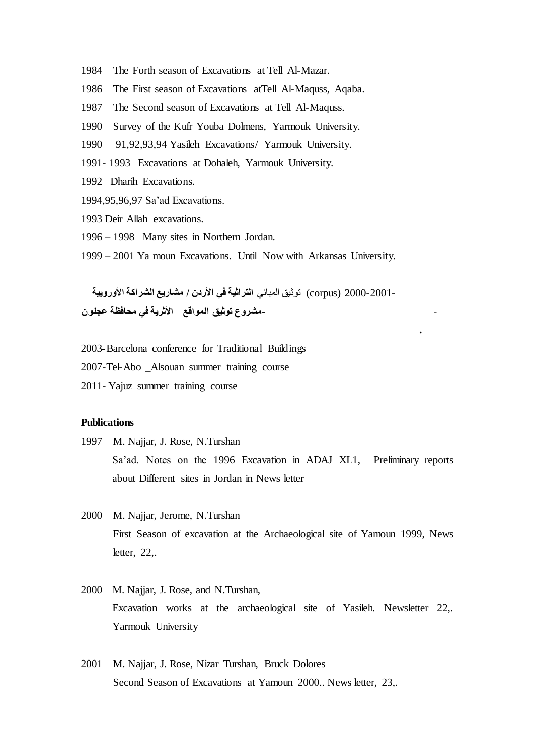- 1984 The Forth season of Excavations at Tell Al-Mazar.
- 1986 The First season of Excavations atTell Al-Maquss, Aqaba.
- 1987 The Second season of Excavations at Tell Al-Maquss.
- 1990 Survey of the Kufr Youba Dolmens, Yarmouk University.
- 1990 91,92,93,94 Yasileh Excavations/ Yarmouk University.
- 1991- 1993 Excavations at Dohaleh, Yarmouk University.
- 1992 Dharih Excavations.
- 1994,95,96,97 Sa'ad Excavations.
- 1993 Deir Allah excavations.
- 1996 1998 Many sites in Northern Jordan.
- 1999 2001 Ya moun Excavations. Until Now with Arkansas University.

 2000-2001- (corpus (توثيق المباني **التراثية في األردن / مشاريع الشراكة األوروبية** - **-مشروع توثيق المواقع األثرية في محافظة عجلون**

- 2003-Barcelona conference for Traditional Buildings
- 2007-Tel-Abo \_Alsouan summer training course
- 2011- Yajuz summer training course

#### **Publications**

1997 M. Najjar, J. Rose, N.Turshan Sa'ad. Notes on the 1996 Excavation in ADAJ XL1, Preliminary reports about Different sites in Jordan in News letter

**.**

- 2000 M. Najjar, Jerome, N.Turshan First Season of excavation at the Archaeological site of Yamoun 1999, News letter, 22,.
- 2000 M. Najjar, J. Rose, and N.Turshan, Excavation works at the archaeological site of Yasileh. Newsletter 22,. Yarmouk University
- 2001 M. Najjar, J. Rose, Nizar Turshan, Bruck Dolores Second Season of Excavations at Yamoun 2000.. News letter, 23,.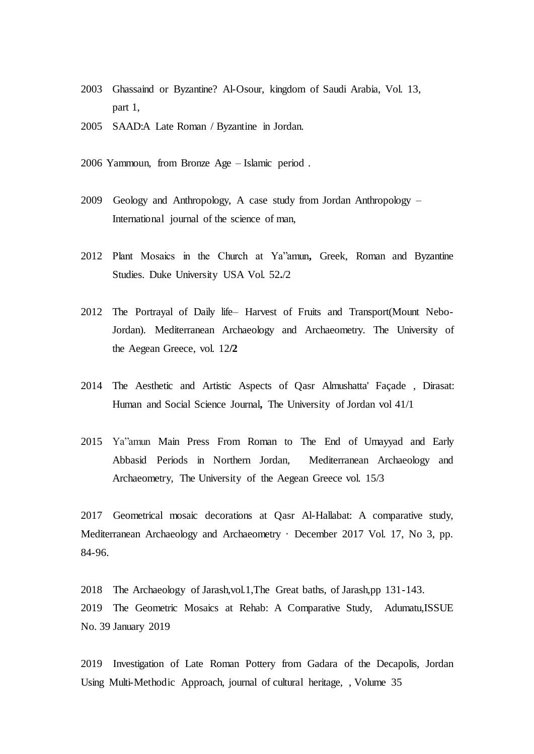- 2003 Ghassaind or Byzantine? Al-Osour, kingdom of Saudi Arabia, Vol. 13, part 1,
- 2005 SAAD:A Late Roman / Byzantine in Jordan.
- 2006 Yammoun, from Bronze Age Islamic period .
- 2009 Geology and Anthropology, A case study from Jordan Anthropology International journal of the science of man,
- 2012 Plant Mosaics in the Church at Ya"amun**,** Greek, Roman and Byzantine Studies. Duke University USA Vol. 52**.**/2
- 2012 The Portrayal of Daily life– Harvest of Fruits and Transport(Mount Nebo-Jordan). Mediterranean Archaeology and Archaeometry. The University of the Aegean Greece, vol. 12**/2**
- 2014 The Aesthetic and Artistic Aspects of Qasr Almushatta' Façade , Dirasat: Human and Social Science Journal**,** The University of Jordan vol 41/1
- 2015 Ya"amun Main Press From Roman to The End of Umayyad and Early Abbasid Periods in Northern Jordan, Mediterranean Archaeology and Archaeometry, The University of the Aegean Greece vol. 15/3

2017 Geometrical mosaic decorations at Qasr Al-Hallabat: A comparative study, Mediterranean Archaeology and Archaeometry · December 2017 Vol. 17, No 3, pp. 84-96.

2018 The Archaeology of Jarash,vol.1,The Great baths, of Jarash,pp 131-143. 2019 The Geometric Mosaics at Rehab: A Comparative Study, Adumatu,ISSUE No. 39 January 2019

2019 Investigation of Late Roman Pottery from Gadara of the Decapolis, Jordan Using Multi-Methodic Approach, journal of cultural heritage, , Volume 35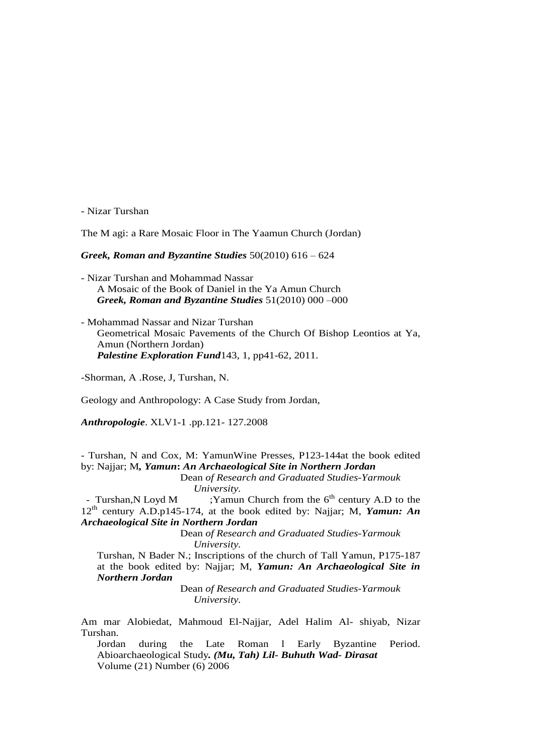- Nizar Turshan

The M agi: a Rare Mosaic Floor in The Yaamun Church (Jordan)

*Greek, Roman and Byzantine Studies* 50(2010) 616 – 624

- Nizar Turshan and Mohammad Nassar A Mosaic of the Book of Daniel in the Ya Amun Church *Greek, Roman and Byzantine Studies* 51(2010) 000 –000

- Mohammad Nassar and Nizar Turshan Geometrical Mosaic Pavements of the Church Of Bishop Leontios at Ya, Amun (Northern Jordan) *Palestine Exploration Fund*143, 1, pp41-62, 2011.

-Shorman, A .Rose, J, Turshan, N.

Geology and Anthropology: A Case Study from Jordan,

*Anthropologie*. XLV1-1 .pp.121- 127.2008

- Turshan, N and Cox, M: YamunWine Presses, P123-144at the book edited by: Najjar; M*, Yamun***:** *An Archaeological Site in Northern Jordan*

 Dean *of Research and Graduated Studies-Yarmouk University.*

- Turshan, N Loyd M  $Y$ amun Church from the 6<sup>th</sup> century A.D to the 12th century A.D.p145-174, at the book edited by: Najjar; M, *Yamun: An* <sup>12th</sup> *Archaeological Site in Northern Jordan*

 Dean *of Research and Graduated Studies-Yarmouk University.*

Turshan, N Bader N.; Inscriptions of the church of Tall Yamun, P175-187 at the book edited by: Najjar; M, *Yamun: An Archaeological Site in Northern Jordan* 

> Dean *of Research and Graduated Studies-Yarmouk University.*

Am mar Alobiedat, Mahmoud El-Najjar, Adel Halim Al- shiyab, Nizar Turshan.

Jordan during the Late Roman l Early Byzantine Period. Abioarchaeological Study*. (Mu, Tah) Lil- Buhuth Wad- Dirasat* Volume (21) Number (6) 2006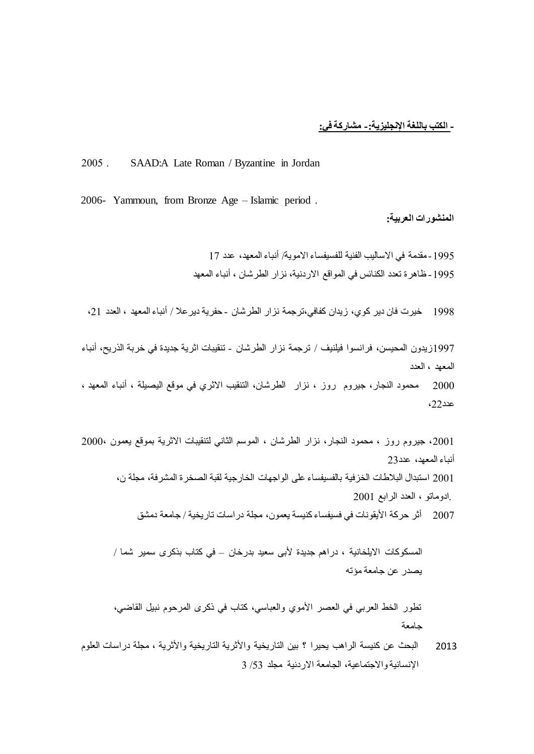## **- الكتب باللغة اإلنجليزية-: مشاركة في:**

#### 2005 . SAAD:A Late Roman / Byzantine in Jordan

2006- Yammoun, from Bronze Age – Islamic period .

**المنشورات العربية:** 

1995 ـ مقدمة في الاساليب الفنية للفسيفساء الاموية/ أنباء المعهد، عدد 17 -1995 ظاهرة تعدد الكنائس في المواقع االردنية، نزار الطرشان ، أنباء المعهد

1998 خيرت فان دير كوي، زيدان كفافي،ترجمة نزار الطرشان - حفرية ديرعال / أنباء المعهد ، العدد ،21

1997زيدون المحيسن، فرانسوا فيلنيف / ترجمة نزار الطرشان - تنقيبات اثرية جديدة في خربة الذريح، أنباء المعهد ، العدد

2000 محمود النجار، جيروم روز ، نزار الطرشان، التنقيب االثري في موقع اليصيلة ، أنباء المعهد ، عدد،22

،2001 جيروم روز ، محمود النجار، نزار الطرشان ، الموسم الثاني لتنقيبات االثرية بموقع يعمون 2000، أنباء المعهد، عدد23 2001 استبدال البالطات الخزفية بالفسيفساء على الواجهات الخارجية لقبة الصخرة المشرفة، مجلة ن، .ادوماتو ، العدد الرابع 2001 2007 أثر حركة األيقونات في فسيفساء كنيسة يعمون، مجلة دراسات تاريخية / جامعة دمشق

المسكوكات االيلخانية ، دراهم جديدة ألبى سعيد بدرخان – في كتاب بذكرى سمير شما / يصدر عن جامعة مؤته

تطور الخط العربي في العصر األموي والعباسي، كتاب في ذكرى المرحوم نبيل القاضي، جامعة

2013 البحث عن كنيسة الراهب يحيرا ؟ بين التاريخية والأثرية التاريخية والأثرية ، مجلة دراسات العلوم اإلنسانية واالجتماعية، الجامعة االردنية مجلد /53 3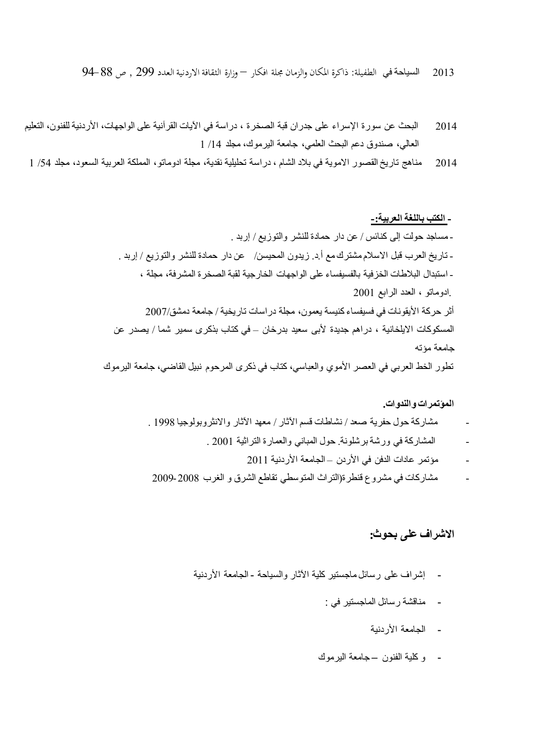2014 – البحث عن سورة الإسراء على جدران قبة الصخرة ، دراسة في الأيات القرآنية على الواجهات، الأردنية للفنون، التعليم العالي، صندوق دعم البحث العلمي، جامعة اليرموك، مجلد /14 1

2014 مناهج تاريخ القصور االموية في بالد الشام ، دراسة تحليلية نقدية، مجلة ادوماتو، المملكة العربية السعود، مجلد /54 1

**- الكتب باللغة العربية-:**  -مساجد حولت إلى كنائس / عن دار حمادة للنشر والتوزيع / إربد . - تاريخ العرب قبل االسالم مشترك مع أ.د. زيدون المحيسن/ عن دار حمادة للنشر والتوزيع / إربد . - استبدال البالطات الخزفية بالفسيفساء على الواجهات الخارجية لقبة الصخرة المشرفة، مجلة ، .ادوماتو ، العدد الرابع 2001 أثر حركة األيقونات في فسيفساء كنيسة يعمون، مجلة دراسات تاريخية / جامعة دمشق2007/ المسكوكات االيلخانية ، دراهم جديدة ألبى سعيد بدرخان – في كتاب بذكرى سمير شما / يصدر عن جامعة مؤته تطور الخط العربي في العصر األموي والعباسي، كتاب في ذكرى المرحوم نبيل القاضي، جامعة اليرموك

#### **المؤتمرات والندوات.**

- مشاركة حول حفرية صعد / نشاطات قسم اآلثار / معهد اآلثار واالنثروبولوجيا 1998 .
	- المشاركة في ورشة برشلونة. حول المباني والعمارة التراثية 2001 .
		- مؤتمر عادات الدفن في األردن الجامعة األردنية 2011
- مشاركات في مشروع قنطرة)التراث المتوسطي تقاطع الشرق و الغرب 2009-2008

## **االشراف على بحوث:**

- إشراف على رسائل ماجستير كلية اآلثار والسياحة الجامعة األردنية
	- مناقشة رسائل الماجستير في :
		- الجامعة الأردنية
	- و كلية الفنون جامعة اليرموك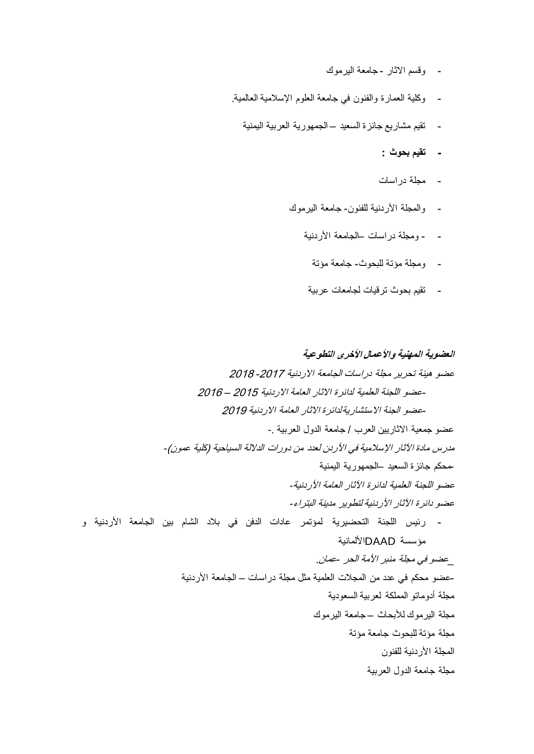- وقسم االثار جامعة اليرموك
- وكلية العمارة والفنون في جامعة العلوم اإلسالمية العالمية.
	- تقيم مشاريع جائزة السعيد الجمهورية العربية اليمنية
		- **- تقيم بحوث :**
		- مجلة دراسات
		- والمجلة األردنية للفنون- جامعة اليرموك
			- - ومجلة دراسات –الجامعة األردنية
				- ومجلة مؤتة للبحوث- جامعة مؤتة
			- تقيم بحوث ترقيات لجامعات عربية

العضوية المهنية والأع*مال الأخرى التطو*عية عضو هيئة تحرير مجلة دراسات الجامعة االردنية -2017 2018 -عضو اللجنة العلمية لدائرة االثار العامة االردنية 2015 – 2016 -عضو الجنة االستشاريةلدائرة االثار العامة االردنية 2019 عضو جمعية االثاريين العرب / جامعة الدول العربية -. مدرس مادة اآلثار اإلسالمية في األردن لعدد من دورات الداللة السياحية )كلية عمون(*-* -محكم جائزة السعيد –الجمهورية اليمنية عضو اللجنة العلمية لدائرة اآلثار العامة األردنية*-* عضو دائرة اآلثار األردنية لتطوير مدينة البتراء*-* - رئيس اللجنة التحضيرية لمؤتمر عادات الدفن في بالد الشام بين الجامعة األردنية و مؤسسة DAADاأللمانية \_عضو في مجلة منبر األمة الحر -عمان. مجلة أدوماتو المملكة لعربية السعودية-عضو محكم في عدد من المجالت العلمية مثل مجلة دراسات – الجامعة األردنية مجلة اليرموك لألبحاث – جامعة اليرموك مجلة مؤتة للبحوث جامعة مؤتة المجلة الأردنية للفنون مجلة جامعة الدول العربية